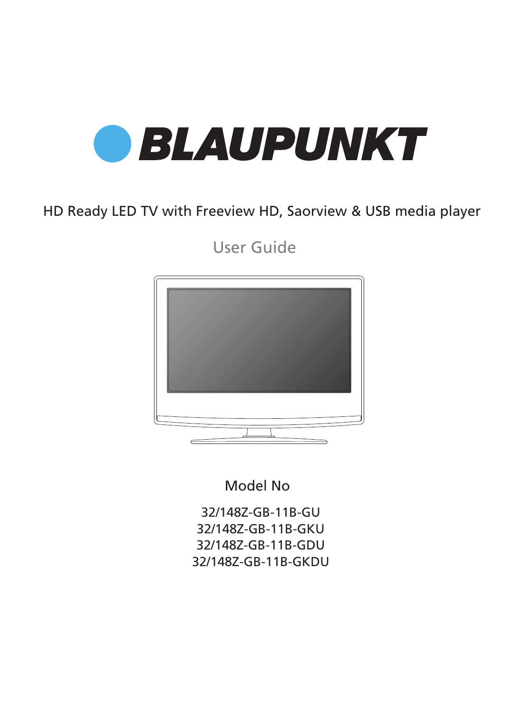

### HD Ready LED TV with Freeview HD, Saorview & USB media player

User Guide



Model No

32/148Z-GB-11B-GU 32/148Z-GB-11B-GKU 32/148Z-GB-11B-GDU 32/148Z-GB-11B-GKDU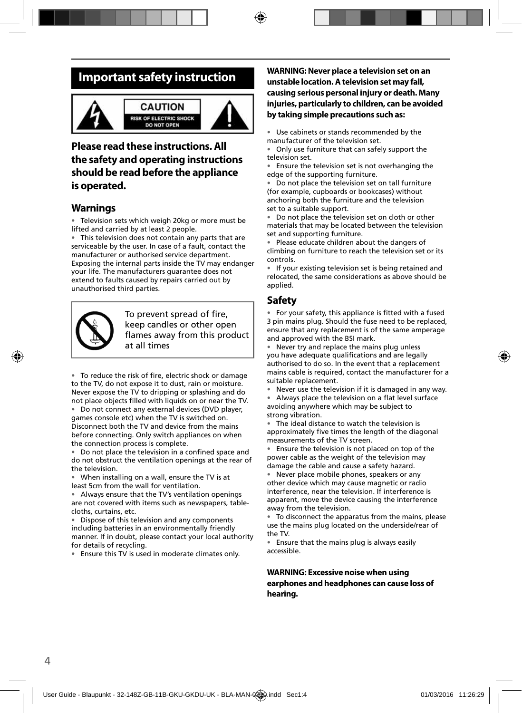### **Important safety instruction**



#### CALITION **RISK OF ELECTRIC SHOCK DO NOT OPEN**



### **Please read these instructions. All the safety and operating instructions should be read before the appliance is operated.**

### **Warnings**

• Television sets which weigh 20kg or more must be lifted and carried by at least 2 people.

• This television does not contain any parts that are serviceable by the user. In case of a fault, contact the manufacturer or authorised service department. Exposing the internal parts inside the TV may endanger your life. The manufacturers guarantee does not extend to faults caused by repairs carried out by unauthorised third parties.



To prevent spread of fire, keep candles or other open flames away from this product at all times

• To reduce the risk of fire, electric shock or damage to the TV, do not expose it to dust, rain or moisture. Never expose the TV to dripping or splashing and do not place objects filled with liquids on or near the TV.

• Do not connect any external devices (DVD player, games console etc) when the TV is switched on. Disconnect both the TV and device from the mains before connecting. Only switch appliances on when the connection process is complete.

Do not place the television in a confined space and do not obstruct the ventilation openings at the rear of the television.

• When installing on a wall, ensure the TV is at least 5cm from the wall for ventilation.

• Always ensure that the TV's ventilation openings are not covered with items such as newspapers, tablecloths, curtains, etc.

Dispose of this television and any components including batteries in an environmentally friendly manner. If in doubt, please contact your local authority for details of recycling.

• Ensure this TV is used in moderate climates only.

#### **WARNING: Never place a television set on an unstable location. A television set may fall, causing serious personal injury or death. Many injuries, particularly to children, can be avoided by taking simple precautions such as:**

• Use cabinets or stands recommended by the manufacturer of the television set.

• Only use furniture that can safely support the television set.

• Ensure the television set is not overhanging the edge of the supporting furniture.

• Do not place the television set on tall furniture (for example, cupboards or bookcases) without anchoring both the furniture and the television set to a suitable support.

• Do not place the television set on cloth or other materials that may be located between the television set and supporting furniture.

Please educate children about the dangers of climbing on furniture to reach the television set or its controls.

If your existing television set is being retained and relocated, the same considerations as above should be applied.

### **Safety**

For your safety, this appliance is fitted with a fused 3 pin mains plug. Should the fuse need to be replaced, ensure that any replacement is of the same amperage and approved with the BSI mark.

• Never try and replace the mains plug unless you have adequate qualifications and are legally authorised to do so. In the event that a replacement mains cable is required, contact the manufacturer for a suitable replacement.

• Never use the television if it is damaged in any way.

Always place the television on a flat level surface avoiding anywhere which may be subject to strong vibration.

• The ideal distance to watch the television is approximately five times the length of the diagonal measurements of the TV screen.

• Ensure the television is not placed on top of the power cable as the weight of the television may damage the cable and cause a safety hazard.

• Never place mobile phones, speakers or any other device which may cause magnetic or radio interference, near the television. If interference is apparent, move the device causing the interference away from the television.

• To disconnect the apparatus from the mains, please use the mains plug located on the underside/rear of the TV.

• Ensure that the mains plug is always easily accessible.

#### **WARNING: Excessive noise when using earphones and headphones can cause loss of hearing.**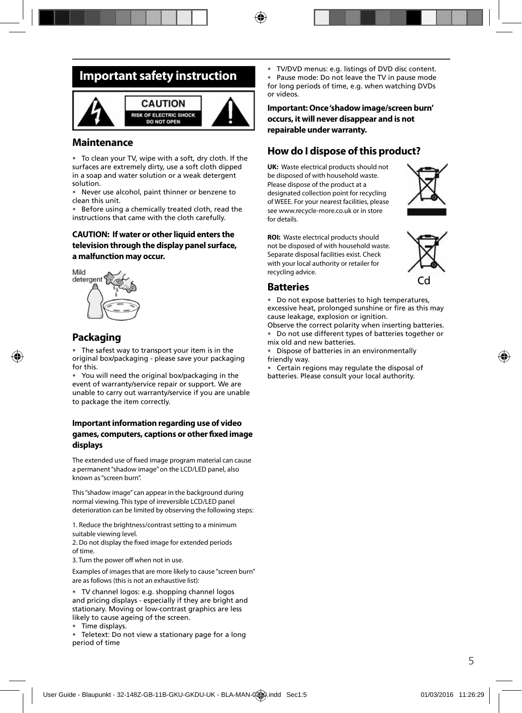### **Important safety instruction**



#### **Maintenance**

• To clean your TV, wipe with a soft, dry cloth. If the surfaces are extremely dirty, use a soft cloth dipped in a soap and water solution or a weak detergent solution.

• Never use alcohol, paint thinner or benzene to clean this unit.

Before using a chemically treated cloth, read the instructions that came with the cloth carefully.

#### **CAUTION: If water or other liquid enters the television through the display panel surface, a malfunction may occur.**



### **Packaging**

• The safest way to transport your item is in the original box/packaging - please save your packaging for this.

• You will need the original box/packaging in the event of warranty/service repair or support. We are unable to carry out warranty/service if you are unable to package the item correctly.

#### **Important information regarding use of video**  games, computers, captions or other fixed image **displays**

The extended use of fixed image program material can cause a permanent "shadow image" on the LCD/LED panel, also known as "screen burn".

This "shadow image" can appear in the background during normal viewing. This type of irreversible LCD/LED panel deterioration can be limited by observing the following steps:

1. Reduce the brightness/contrast setting to a minimum suitable viewing level.

2. Do not display the fixed image for extended periods of time.

3. Turn the power off when not in use.

Examples of images that are more likely to cause "screen burn" are as follows (this is not an exhaustive list):

• TV channel logos: e.g. shopping channel logos and pricing displays - especially if they are bright and stationary. Moving or low-contrast graphics are less likely to cause ageing of the screen.

• Time displays.

• Teletext: Do not view a stationary page for a long period of time

- TV/DVD menus: e.g. listings of DVD disc content.
- Pause mode: Do not leave the TV in pause mode for long periods of time, e.g. when watching DVDs or videos.

**Important: Once 'shadow image/screen burn' occurs, it will never disappear and is not repairable under warranty.**

### **How do I dispose of this product?**

**UK:** Waste electrical products should not be disposed of with household waste. Please dispose of the product at a designated collection point for recycling of WEEE. For your nearest facilities, please see www.recycle-more.co.uk or in store for details.



**ROI:** Waste electrical products should not be disposed of with household waste. Separate disposal facilities exist. Check with your local authority or retailer for recycling advice.



#### **Batteries**

• Do not expose batteries to high temperatures, excessive heat, prolonged sunshine or fire as this may cause leakage, explosion or ignition.

Observe the correct polarity when inserting batteries. • Do not use different types of batteries together or

mix old and new batteries.

• Dispose of batteries in an environmentally friendly way.

• Certain regions may regulate the disposal of batteries. Please consult your local authority.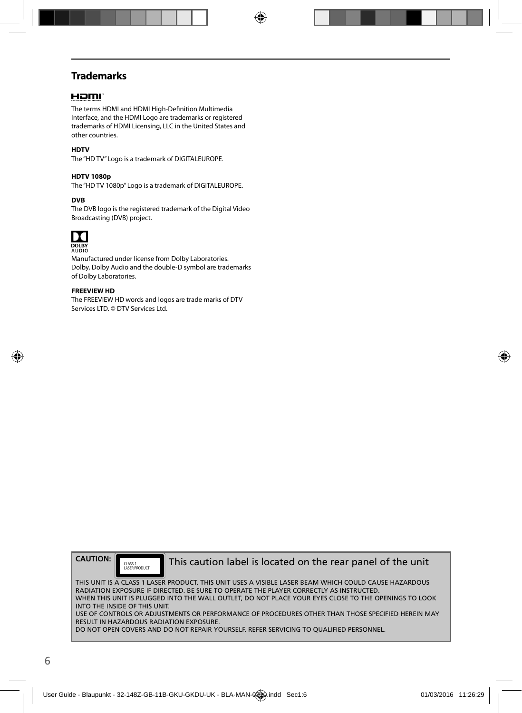### **Trademarks**

### HOMI<sup>\*</sup>

The terms HDMI and HDMI High-Definition Multimedia Interface, and the HDMI Logo are trademarks or registered trademarks of HDMI Licensing, LLC in the United States and other countries.

#### **HDTV**

The "HD TV" Logo is a trademark of DIGITALEUROPE.

#### **HDTV 1080p**

The "HD TV 1080p" Logo is a trademark of DIGITALEUROPE.

#### **DVB**

The DVB logo is the registered trademark of the Digital Video Broadcasting (DVB) project.



**DOLBY**<br>AUDIO

Manufactured under license from Dolby Laboratories. Dolby, Dolby Audio and the double-D symbol are trademarks of Dolby Laboratories.

#### **FREEVIEW HD**

The FREEVIEW HD words and logos are trade marks of DTV Services LTD. © DTV Services Ltd.

**CAUTION:**

CLASS 1<br>LASER PRODUCT

This caution label is located on the rear panel of the unit

THIS UNIT IS A CLASS 1 LASER PRODUCT. THIS UNIT USES A VISIBLE LASER BEAM WHICH COULD CAUSE HAZARDOUS RADIATION EXPOSURE IF DIRECTED. BE SURE TO OPERATE THE PLAYER CORRECTLY AS INSTRUCTED. WHEN THIS UNIT IS PLUGGED INTO THE WALL OUTLET, DO NOT PLACE YOUR EYES CLOSE TO THE OPENINGS TO LOOK INTO THE INSIDE OF THIS UNIT. USE OF CONTROLS OR ADJUSTMENTS OR PERFORMANCE OF PROCEDURES OTHER THAN THOSE SPECIFIED HEREIN MAY RESULT IN HAZARDOUS RADIATION EXPOSURE. DO NOT OPEN COVERS AND DO NOT REPAIR YOURSELF. REFER SERVICING TO QUALIFIED PERSONNEL.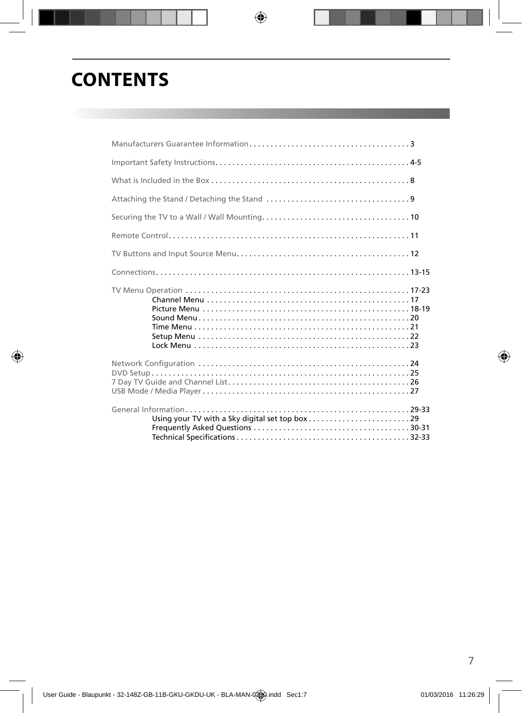## **CONTENTS**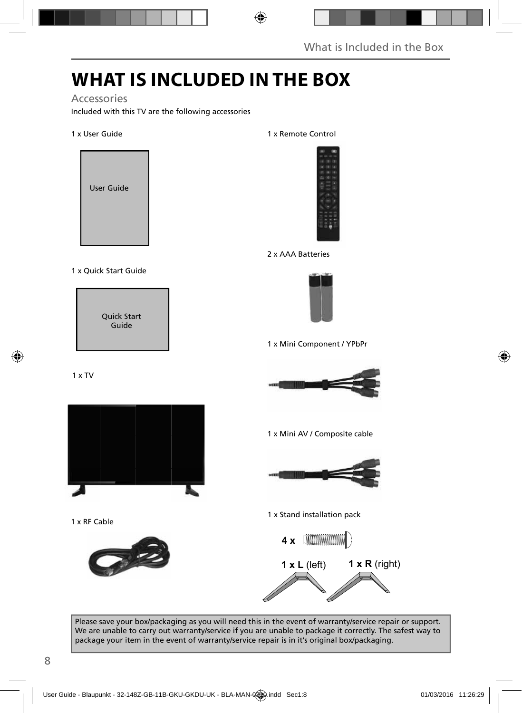## **WHAT IS INCLUDED IN THE BOX**

#### Accessories

Included with this TV are the following accessories

#### 1 x User Guide



#### 1 x Quick Start Guide

Quick Start Guide

1 x TV



1 x RF Cable



#### 1 x Remote Control



2 x AAA Batteries



1 x Mini Component / YPbPr



1 x Mini AV / Composite cable



1 x Stand installation pack



Please save your box/packaging as you will need this in the event of warranty/service repair or support. We are unable to carry out warranty/service if you are unable to package it correctly. The safest way to package your item in the event of warranty/service repair is in it's original box/packaging.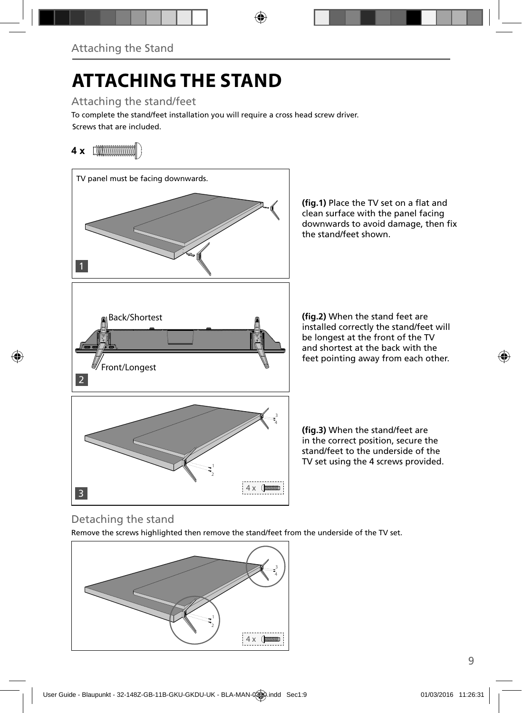# **ATTACHING THE STAND**

Attaching the stand/feet

Screws that are included. To complete the stand/feet installation you will require a cross head screw driver.

### **4 x** [*MMMMMMM*]



(fig.1) Place the TV set on a flat and clean surface with the panel facing downwards to avoid damage, then fix the stand/feet shown.

(fig.2) When the stand feet are installed correctly the stand/feet will be longest at the front of the TV and shortest at the back with the feet pointing away from each other.

(fig.3) When the stand/feet are in the correct position, secure the stand/feet to the underside of the TV set using the 4 screws provided.

### Detaching the stand

Remove the screws highlighted then remove the stand/feet from the underside of the TV set.

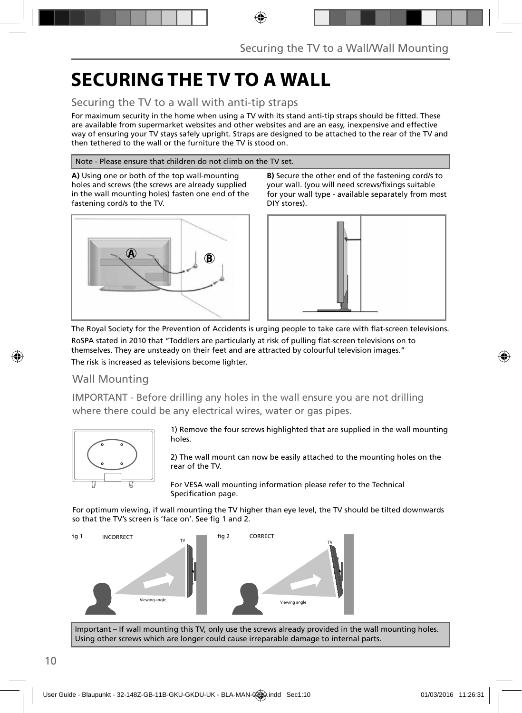## **SECURING THE TV TO A WALL**

### Securing the TV to a wall with anti-tip straps

For maximum security in the home when using a TV with its stand anti-tip straps should be fitted. These are available from supermarket websites and other websites and are an easy, inexpensive and effective way of ensuring your TV stays safely upright. Straps are designed to be attached to the rear of the TV and then tethered to the wall or the furniture the TV is stood on.

#### Note - Please ensure that children do not climb on the TV set.

**A)** Using one or both of the top wall-mounting holes and screws (the screws are already supplied in the wall mounting holes) fasten one end of the fastening cord/s to the TV.



**B)** Secure the other end of the fastening cord/s to your wall. (you will need screws/fixings suitable for your wall type - available separately from most DIY stores).



The Royal Society for the Prevention of Accidents is urging people to take care with flat-screen televisions. RoSPA stated in 2010 that "Toddlers are particularly at risk of pulling flat-screen televisions on to themselves. They are unsteady on their feet and are attracted by colourful television images." The risk is increased as televisions become lighter.

### Wall Mounting

IMPORTANT - Before drilling any holes in the wall ensure you are not drilling where there could be any electrical wires, water or gas pipes.



1) Remove the four screws highlighted that are supplied in the wall mounting holes.

2) The wall mount can now be easily attached to the mounting holes on the rear of the TV.

For VESA wall mounting information please refer to the Technical Specification page.

For optimum viewing, if wall mounting the TV higher than eye level, the TV should be tilted downwards so that the TV's screen is 'face on'. See fig 1 and 2.



Important – If wall mounting this TV, only use the screws already provided in the wall mounting holes. Using other screws which are longer could cause irreparable damage to internal parts.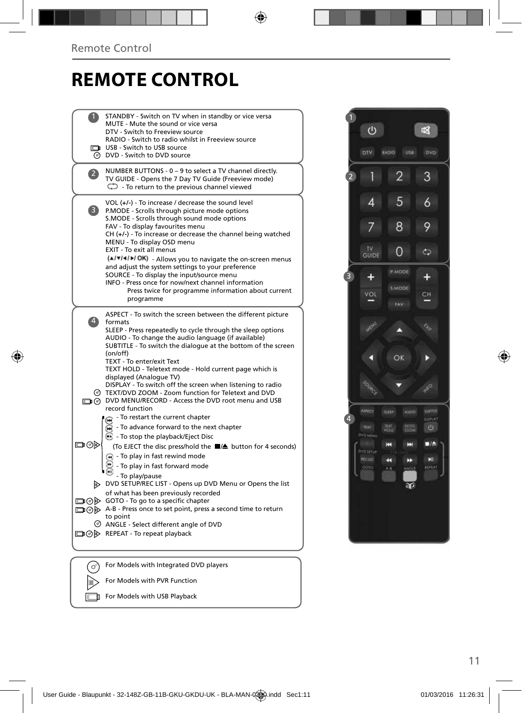## **REMOTE CONTROL**

|                      | STANDBY - Switch on TV when in standby or vice versa<br>MUTE - Mute the sound or vice versa<br>DTV - Switch to Freeview source<br>RADIO - Switch to radio whilst in Freeview source<br>USB - Switch to USB source<br>O DVD - Switch to DVD source                                                                                                                                                                                                                                                                                                                                                             |  |
|----------------------|---------------------------------------------------------------------------------------------------------------------------------------------------------------------------------------------------------------------------------------------------------------------------------------------------------------------------------------------------------------------------------------------------------------------------------------------------------------------------------------------------------------------------------------------------------------------------------------------------------------|--|
| $\mathbf{2}$         | NUMBER BUTTONS - 0 - 9 to select a TV channel directly.<br>TV GUIDE - Opens the 7 Day TV Guide (Freeview mode)<br>$\mathbb{C}$ - To return to the previous channel viewed                                                                                                                                                                                                                                                                                                                                                                                                                                     |  |
| $\mathbf{3}^{\circ}$ | VOL (+/-) - To increase / decrease the sound level<br>P.MODE - Scrolls through picture mode options<br>S.MODE - Scrolls through sound mode options<br>FAV - To display favourites menu<br>$CH (+/-)$ - To increase or decrease the channel being watched<br>MENU - To display OSD menu<br>EXIT - To exit all menus<br>(A/V/4/M/OK) - Allows you to navigate the on-screen menus<br>and adjust the system settings to your preference<br>SOURCE - To display the input/source menu<br>INFO - Press once for now/next channel information<br>Press twice for programme information about current<br>programme   |  |
| $\vert 4 \rangle$    | ASPECT - To switch the screen between the different picture<br>formats<br>SLEEP - Press repeatedly to cycle through the sleep options<br>AUDIO - To change the audio language (if available)<br>SUBTITLE - To switch the dialoque at the bottom of the screen<br>(on/off)<br>TEXT - To enter/exit Text<br>TEXT HOLD - Teletext mode - Hold current page which is<br>displayed (Analoque TV)<br>DISPLAY - To switch off the screen when listening to radio<br>◎ TEXT/DVD ZOOM - Zoom function for Teletext and DVD<br>DVD MENU/RECORD - Access the DVD root menu and USB<br>record function                    |  |
| ▭⊙▷                  | - To restart the current chapter<br>- To advance forward to the next chapter<br><b>B</b> - To stop the playback/Eject Disc<br>(To EJECT the disc press/hold the ■▲ button for 4 seconds)<br>$\left( \overline{\mathbf{H}} \right)$ - To play in fast rewind mode<br>- To play in fast forward mode<br>- To play/pause<br>DVD SETUP/REC LIST - Opens up DVD Menu or Opens the list<br>of what has been previously recorded<br>$\Box$ $\odot$ $\odot$ GOTO - To go to a specific chapter<br>A-B - Press once to set point, press a second time to return<br>to point<br>© ANGLE - Select different angle of DVD |  |
|                      | □ ⊙ ▶ REPEAT - To repeat playback                                                                                                                                                                                                                                                                                                                                                                                                                                                                                                                                                                             |  |
|                      | For Models with Integrated DVD players<br>For Models with PVR Function                                                                                                                                                                                                                                                                                                                                                                                                                                                                                                                                        |  |
| m                    |                                                                                                                                                                                                                                                                                                                                                                                                                                                                                                                                                                                                               |  |

For Models with USB Playback

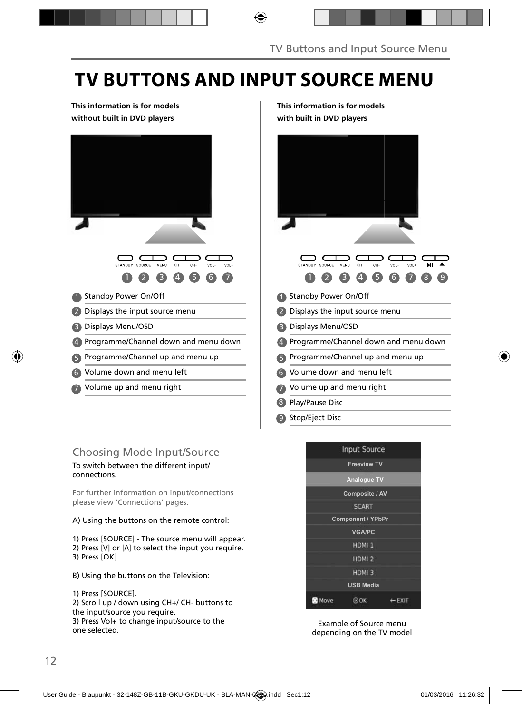## **TV BUTTONS AND INPUT SOURCE MENU**

#### **This information is for models without built in DVD players**



### Choosing Mode Input/Source

#### To switch between the different input/ connections.

For further information on input/connections please view 'Connections' pages.

A) Using the buttons on the remote control:

1) Press [SOURCE] - The source menu will appear. 2) Press  $[V]$  or  $[\Lambda]$  to select the input you require. 3) Press [OK].

B) Using the buttons on the Television:

1) Press [SOURCE]. 2) Scroll up / down using CH+/ CH- buttons to the input/source you require. 3) Press Vol+ to change input/source to the one selected.

#### **This information is for models with built in DVD players**





Example of Source menu depending on the TV model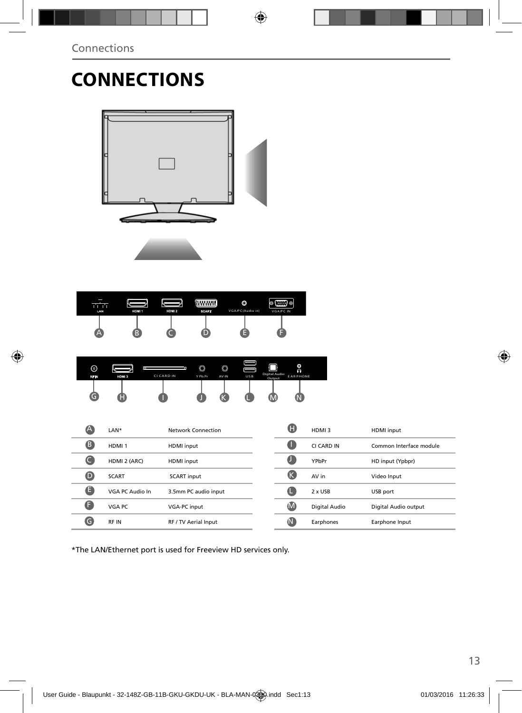# **CONNECTIONS**



| LAN | HDM 1 | HDM <sub>2</sub> | WWWW<br><b>SCART</b> | ٥<br>VGA/PC(Audio in) | <b>GED</b> of<br>O<br>VGA/PC IN |
|-----|-------|------------------|----------------------|-----------------------|---------------------------------|
| А   | B     |                  |                      |                       |                                 |

| ⊚<br>RF IN | HDM 3 | <b>CI CARD IN</b> | O<br>Y Pb Pr | O<br>AV IN | <b>USB</b> | Digital Audio<br>Output | O<br>Ā<br><b>EARPHONE</b> |  |
|------------|-------|-------------------|--------------|------------|------------|-------------------------|---------------------------|--|
| e          | н     |                   |              |            |            |                         |                           |  |

| IA.          | LAN*              | Network Connection   | G  | HDMI3          | <b>HDMI</b> input       |
|--------------|-------------------|----------------------|----|----------------|-------------------------|
| B            | HDMI <sub>1</sub> | <b>HDMI</b> input    | O  | CI CARD IN     | Common Interface module |
|              | HDMI 2 (ARC)      | <b>HDMI</b> input    | O  | YPbPr          | HD input (Ypbpr)        |
| O            | <b>SCART</b>      | <b>SCART</b> input   | (K | AV in          | Video Input             |
| Α            | VGA PC Audio In   | 3.5mm PC audio input | U  | $2 \times$ USB | USB port                |
| G            | VGA PC            | VGA-PC input         | M  | Digital Audio  | Digital Audio output    |
| $\mathsf{G}$ | RF IN             | RF / TV Aerial Input | N  | Earphones      | Earphone Input          |

\*The LAN/Ethernet port is used for Freeview HD services only.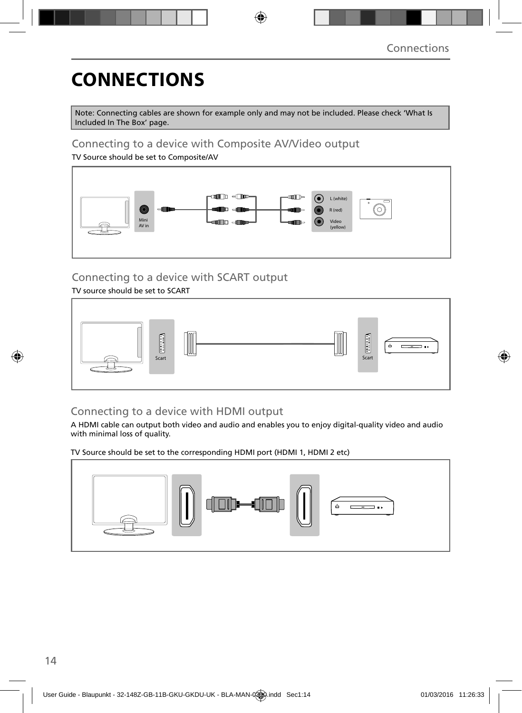## **CONNECTIONS**

Note: Connecting cables are shown for example only and may not be included. Please check 'What Is Included In The Box' page.

### Connecting to a device with Composite AV/Video output

TV Source should be set to Composite/AV



### Connecting to a device with SCART output

TV source should be set to SCART



### Connecting to a device with HDMI output

A HDMI cable can output both video and audio and enables you to enjoy digital-quality video and audio with minimal loss of quality.

TV Source should be set to the corresponding HDMI port (HDMI 1, HDMI 2 etc)

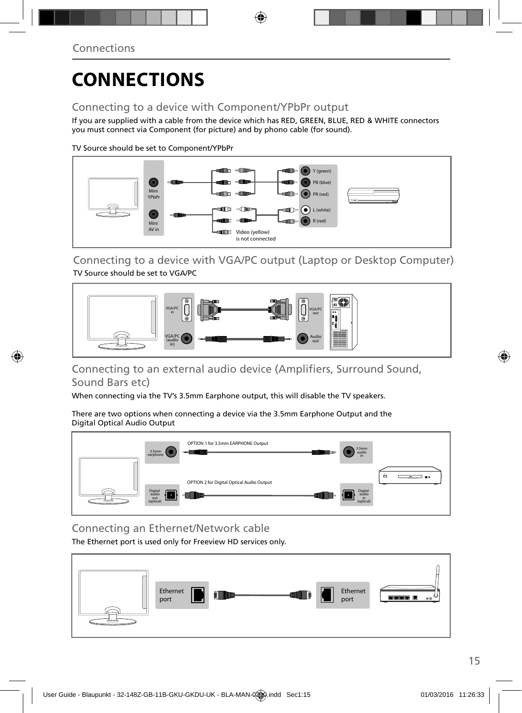# **CONNECTIONS**

### Connecting to a device with Component/YPbPr output

If you are supplied with a cable from the device which has RED, GREEN, BLUE, RED & WHITE connectors you must connect via Component (for picture) and by phono cable (for sound).

TV Source should be set to Component/YPbPr



Connecting to a device with VGA/PC output (Laptop or Desktop Computer) TV Source should be set to VGA/PC



### Connecting to an external audio device (Amplifiers, Surround Sound, Sound Bars etc)

When connecting via the TV's 3.5mm Earphone output, this will disable the TV speakers.

There are two options when connecting a device via the 3.5mm Earphone Output and the Digital Optical Audio Output



Connecting an Ethernet/Network cable

The Ethernet port is used only for Freeview HD services only.

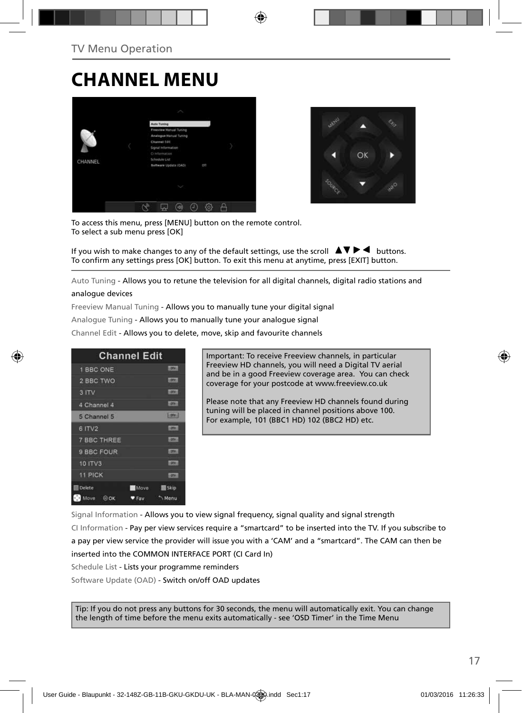## **CHANNEL MENU**





To access this menu, press [MENU] button on the remote control. To select a sub menu press [OK]

If you wish to make changes to any of the default settings, use the scroll  $\blacktriangle \blacktriangledown \blacktriangleright \blacktriangleleft$  buttons. To confirm any settings press [OK] button. To exit this menu at anytime, press [EXIT] button.

Auto Tuning - Allows you to retune the television for all digital channels, digital radio stations and

#### analogue devices

Freeview Manual Tuning - Allows you to manually tune your digital signal

Analogue Tuning - Allows you to manually tune your analogue signal

Channel Edit - Allows you to delete, move, skip and favourite channels

|                    | <b>Channel Edit</b> |                |
|--------------------|---------------------|----------------|
| 1 BBC ONE          |                     | <b>LIBRARY</b> |
| 2 BBC TWO          |                     | <b>LONG</b>    |
| 3 ITV              |                     | <b>LOTAL</b>   |
| 4 Channel 4        |                     | <b>LOTAL</b>   |
| 5 Channel 5        |                     | $[$ pre $]$    |
| 6 ITV2             |                     | 1.0791         |
| <b>7 BBC THREE</b> |                     | Licensin       |
| 9 BBC FOUR         |                     | <b>COTY</b>    |
| 10 ITV3            |                     | <b>LOTH</b>    |
| 11 PICK            |                     | <b>COTH</b>    |
| <b>Delete</b>      | <b>Move</b>         | Skip           |
| Move<br>00K        | <b>Trav</b>         | Menu           |

Important: To receive Freeview channels, in particular Freeview HD channels, you will need a Digital TV aerial and be in a good Freeview coverage area. You can check coverage for your postcode at www.freeview.co.uk

Please note that any Freeview HD channels found during tuning will be placed in channel positions above 100. For example, 101 (BBC1 HD) 102 (BBC2 HD) etc.

Signal Information - Allows you to view signal frequency, signal quality and signal strength CI Information - Pay per view services require a "smartcard" to be inserted into the TV. If you subscribe to a pay per view service the provider will issue you with a 'CAM' and a "smartcard". The CAM can then be inserted into the COMMON INTERFACE PORT (CI Card In)

Schedule List - Lists your programme reminders

Software Update (OAD) - Switch on/off OAD updates

Tip: If you do not press any buttons for 30 seconds, the menu will automatically exit. You can change the length of time before the menu exits automatically - see 'OSD Timer' in the Time Menu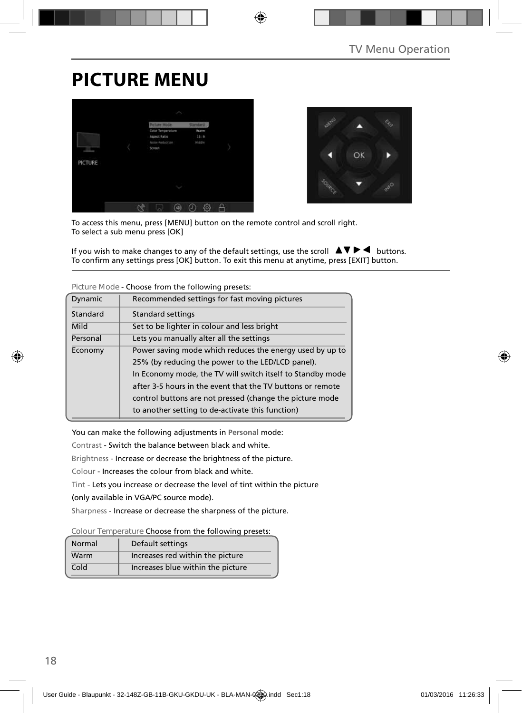## **PICTURE MENU**





To access this menu, press [MENU] button on the remote control and scroll right. To select a sub menu press [OK]

If you wish to make changes to any of the default settings, use the scroll  $\Box \blacktriangledown \blacktriangleright \blacktriangleleft$  buttons. To confirm any settings press [OK] button. To exit this menu at anytime, press [EXIT] button.

| Dynamic  | Recommended settings for fast moving pictures              |
|----------|------------------------------------------------------------|
| Standard | <b>Standard settings</b>                                   |
| Mild     | Set to be lighter in colour and less bright                |
| Personal | Lets you manually alter all the settings                   |
| Economy  | Power saving mode which reduces the energy used by up to   |
|          | 25% (by reducing the power to the LED/LCD panel).          |
|          | In Economy mode, the TV will switch itself to Standby mode |
|          | after 3-5 hours in the event that the TV buttons or remote |
|          | control buttons are not pressed (change the picture mode   |
|          | to another setting to de-activate this function)           |
|          |                                                            |

**Picture Mode** - Choose from the following presets:

You can make the following adjustments in **Personal** mode:

Contrast - Switch the balance between black and white.

Brightness - Increase or decrease the brightness of the picture.

Colour - Increases the colour from black and white.

Tint - Lets you increase or decrease the level of tint within the picture

(only available in VGA/PC source mode).

Sharpness - Increase or decrease the sharpness of the picture.

**Colour Temperature** Choose from the following presets:

| Normal | Default settings                  |
|--------|-----------------------------------|
| Warm   | Increases red within the picture  |
| Cold   | Increases blue within the picture |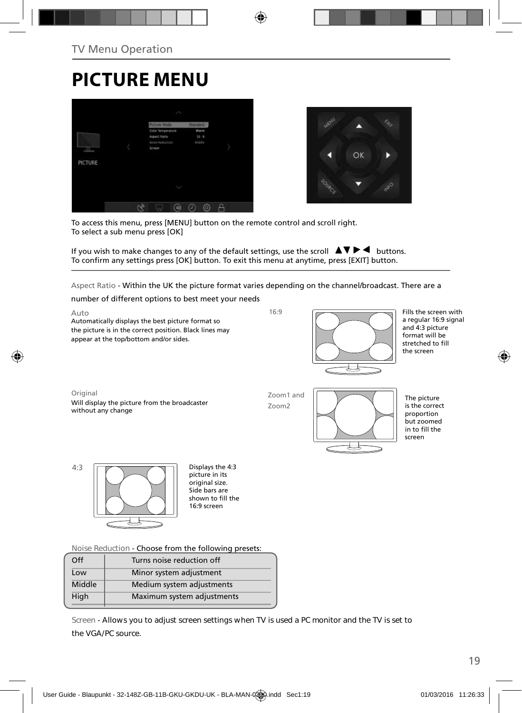## **PICTURE MENU**





To access this menu, press [MENU] button on the remote control and scroll right. To select a sub menu press [OK]

If you wish to make changes to any of the default settings, use the scroll  $\blacktriangle \blacktriangledown \blacktriangleright \blacktriangleleft$  buttons. To confirm any settings press [OK] button. To exit this menu at anytime, press [EXIT] button.

Aspect Ratio - Within the UK the picture format varies depending on the channel/broadcast. There are a

number of different options to best meet your needs

Auto Automatically displays the best picture format so the picture is in the correct position. Black lines may appear at the top/bottom and/or sides.



Fills the screen with a regular 16:9 signal and 4:3 picture format will be stretched to fill the screen

Original Will display the picture from the broadcaster without any change

Zoom1 and Zoom2

16:9



The picture is the correct proportion but zoomed in to fill the screen

4:3 **Displays the 4:3** 

picture in its .<br>original size. Side bars are shown to fill the 16:9 screen

**Noise Reduction** - Choose from the following presets:

| Off    | Turns noise reduction off  |
|--------|----------------------------|
| Low    | Minor system adjustment    |
| Middle | Medium system adjustments  |
| High   | Maximum system adjustments |
|        |                            |

**Screen - Allows you to adjust screen settings when TV is used a PC monitor and the TV is set to the VGA/PC source.**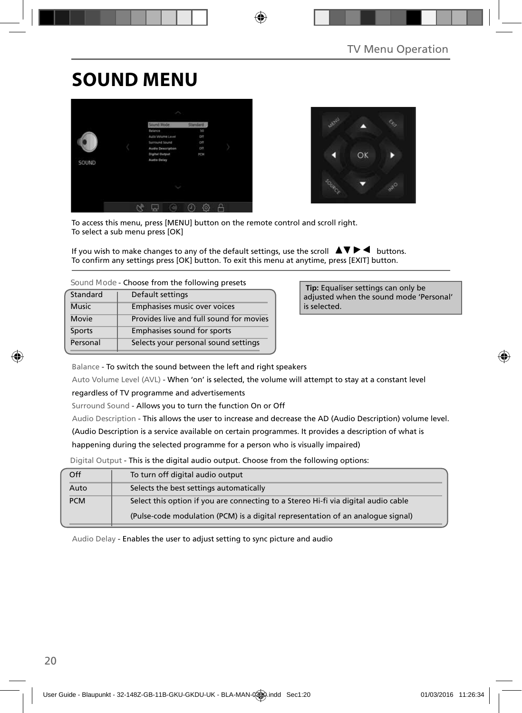## **SOUND MENU**





To access this menu, press [MENU] button on the remote control and scroll right. To select a sub menu press [OK]

If you wish to make changes to any of the default settings, use the scroll  $\blacktriangle \blacktriangledown \blacktriangleright \blacktriangleleft$  buttons. To confirm any settings press [OK] button. To exit this menu at anytime, press [EXIT] button.

| Standard     | Default settings                        |
|--------------|-----------------------------------------|
| <b>Music</b> | Emphasises music over voices            |
| Movie        | Provides live and full sound for movies |
| Sports       | Emphasises sound for sports             |
| Personal     | Selects your personal sound settings    |

 **Tip:** Equaliser settings can only be adjusted when the sound mode 'Personal' is selected.

Balance - To switch the sound between the left and right speakers

Auto Volume Level (AVL) - When 'on' is selected, the volume will attempt to stay at a constant level

regardless of TV programme and advertisements

Surround Sound - Allows you to turn the function On or Off

Audio Description - This allows the user to increase and decrease the AD (Audio Description) volume level.

(Audio Description is a service available on certain programmes. It provides a description of what is

happening during the selected programme for a person who is visually impaired)

Digital Output - This is the digital audio output. Choose from the following options:

| Off        | To turn off digital audio output                                                   |
|------------|------------------------------------------------------------------------------------|
| Auto       | Selects the best settings automatically                                            |
| <b>PCM</b> | Select this option if you are connecting to a Stereo Hi-fi via digital audio cable |
|            | (Pulse-code modulation (PCM) is a digital representation of an analogue signal)    |

Audio Delay - Enables the user to adjust setting to sync picture and audio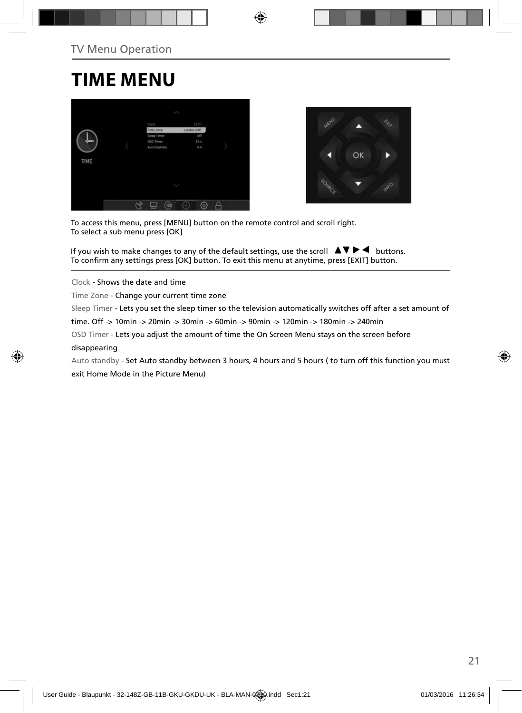## **TIME MENU**





To access this menu, press [MENU] button on the remote control and scroll right. To select a sub menu press [OK]

If you wish to make changes to any of the default settings, use the scroll  $\Box \blacktriangledown \blacktriangleright \blacktriangleleft$  buttons. To confirm any settings press [OK] button. To exit this menu at anytime, press [EXIT] button.

Clock - Shows the date and time

Time Zone - Change your current time zone

Sleep Timer - Lets you set the sleep timer so the television automatically switches off after a set amount of

time. Off -> 10min -> 20min -> 30min -> 60min -> 90min -> 120min -> 180min -> 240min

OSD Timer - Lets you adjust the amount of time the On Screen Menu stays on the screen before

#### disappearing

Auto standby - Set Auto standby between 3 hours, 4 hours and 5 hours ( to turn off this function you must exit Home Mode in the Picture Menu)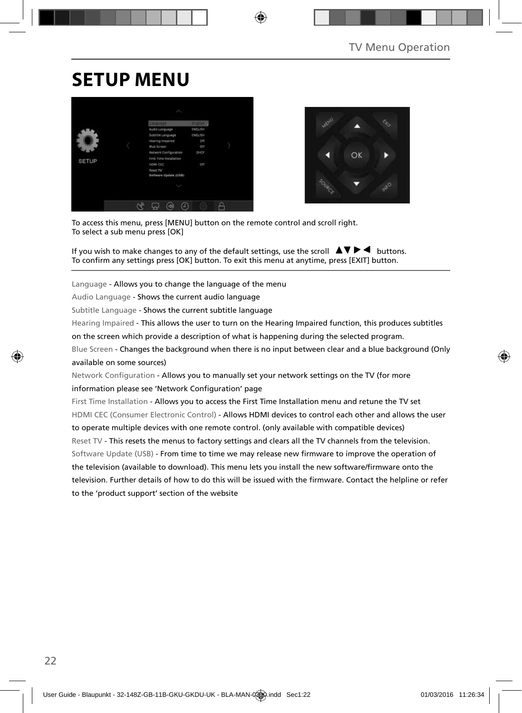## **SETUP MENU**





To access this menu, press [MENU] button on the remote control and scroll right. To select a sub menu press [OK]

If you wish to make changes to any of the default settings, use the scroll  $\Box \blacktriangledown \blacktriangleright \blacktriangleleft$  buttons. To confirm any settings press [OK] button. To exit this menu at anytime, press [EXIT] button.

Language - Allows you to change the language of the menu

Audio Language - Shows the current audio language

Subtitle Language - Shows the current subtitle language

Hearing Impaired - This allows the user to turn on the Hearing Impaired function, this produces subtitles

on the screen which provide a description of what is happening during the selected program.

Blue Screen - Changes the background when there is no input between clear and a blue background (Only available on some sources)

Network Configuration - Allows you to manually set your network settings on the TV (for more information please see 'Network Configuration' page

First Time Installation - Allows you to access the First Time Installation menu and retune the TV set HDMI CEC (Consumer Electronic Control) - Allows HDMI devices to control each other and allows the user to operate multiple devices with one remote control. (only available with compatible devices) Reset TV - This resets the menus to factory settings and clears all the TV channels from the television. Software Update (USB) - From time to time we may release new firmware to improve the operation of the television (available to download). This menu lets you install the new software/firmware onto the television. Further details of how to do this will be issued with the firmware. Contact the helpline or refer to the 'product support' section of the website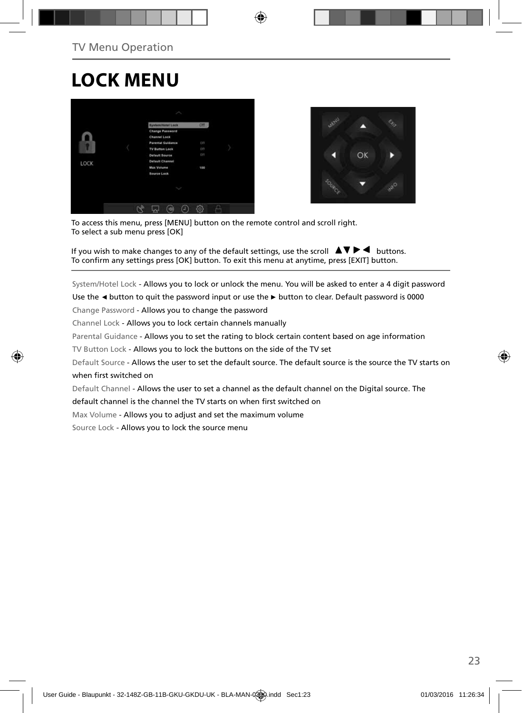## **LOCK MENU**





To access this menu, press [MENU] button on the remote control and scroll right. To select a sub menu press [OK]

If you wish to make changes to any of the default settings, use the scroll  $\Box \blacktriangledown \blacktriangleright \blacktriangleleft$  buttons. To confirm any settings press [OK] button. To exit this menu at anytime, press [EXIT] button.

System/Hotel Lock - Allows you to lock or unlock the menu. You will be asked to enter a 4 digit password

Use the **◄** button to quit the password input or use the **►** button to clear. Default password is 0000

Change Password - Allows you to change the password

Channel Lock - Allows you to lock certain channels manually

Parental Guidance - Allows you to set the rating to block certain content based on age information

TV Button Lock - Allows you to lock the buttons on the side of the TV set

Default Source - Allows the user to set the default source. The default source is the source the TV starts on when first switched on

Default Channel - Allows the user to set a channel as the default channel on the Digital source. The

default channel is the channel the TV starts on when first switched on

Max Volume - Allows you to adjust and set the maximum volume

Source Lock - Allows you to lock the source menu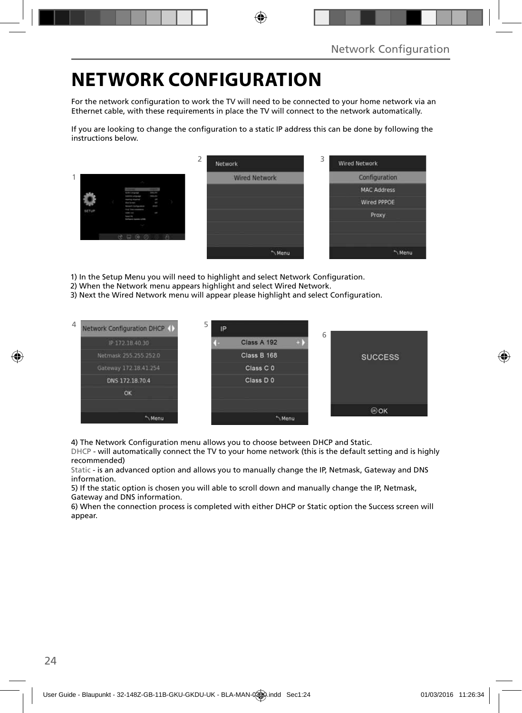## **NETWORK CONFIGURATION**

For the network configuration to work the TV will need to be connected to your home network via an Ethernet cable, with these requirements in place the TV will connect to the network automatically.

If you are looking to change the configuration to a static IP address this can be done by following the instructions below.

|       |                                                                                              |                                 |                 | ∠ | Network              | 3 | <b>Wired Network</b> |
|-------|----------------------------------------------------------------------------------------------|---------------------------------|-----------------|---|----------------------|---|----------------------|
| 1     |                                                                                              |                                 |                 |   | <b>Wired Network</b> |   | Configuration        |
|       | -<br><b><i><u>Andre Component</u></i></b>                                                    | $\frac{1}{2}$                   |                 |   |                      |   | <b>MAC Address</b>   |
|       | <b>Extension Language</b><br>needs expense<br><b>Service</b><br><b>Several Listings draw</b> | <b>MONE</b><br>×<br>٠<br>di cri |                 |   |                      |   | <b>Wired PPPOE</b>   |
| SETUP | ling 144 passenes<br><b>STATE OF</b><br><b>Senat Die</b><br>Sollared Learn (218)             | ×                               |                 |   |                      |   | Proxy                |
|       | <b>Contract</b>                                                                              |                                 |                 |   |                      |   |                      |
|       | $C^* = 0$                                                                                    |                                 | $\mathcal{P}_1$ |   |                      |   |                      |
|       |                                                                                              |                                 |                 |   | Menu                 |   | "Menu                |

1) In the Setup Menu you will need to highlight and select Network Configuration.

- 2) When the Network menu appears highlight and select Wired Network.
- 3) Next the Wired Network menu will appear please highlight and select Configuration.



4) The Network Configuration menu allows you to choose between DHCP and Static.

DHCP - will automatically connect the TV to your home network (this is the default setting and is highly recommended)

Static - is an advanced option and allows you to manually change the IP, Netmask, Gateway and DNS information.

5) If the static option is chosen you will able to scroll down and manually change the IP, Netmask, Gateway and DNS information.

6) When the connection process is completed with either DHCP or Static option the Success screen will appear.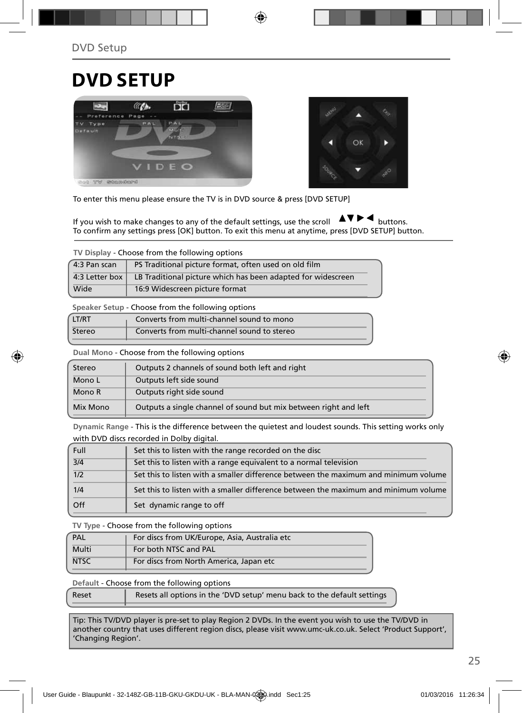### **DVD SETUP**





To enter this menu please ensure the TV is in DVD source & press [DVD SETUP]

If you wish to make changes to any of the default settings, use the scroll  $\Delta \nabla \blacktriangleright$  buttons. To confirm any settings press [OK] button. To exit this menu at anytime, press [DVD SETUP] button.

**TV Display** - Choose from the following options

| 4:3 Pan scan   | PS Traditional picture format, often used on old film        |
|----------------|--------------------------------------------------------------|
| 4:3 Letter box | LB Traditional picture which has been adapted for widescreen |
| Wide           | 16:9 Widescreen picture format                               |

**Speaker Setup** - Choose from the following options

| LT/RT  | Converts from multi-channel sound to mono   |
|--------|---------------------------------------------|
| Stereo | Converts from multi-channel sound to stereo |

**Dual Mono** - Choose from the following options

| Stereo   | Outputs 2 channels of sound both left and right                  |
|----------|------------------------------------------------------------------|
| Mono L   | Outputs left side sound                                          |
| Mono R   | Outputs right side sound                                         |
| Mix Mono | Outputs a single channel of sound but mix between right and left |

**Dynamic Range** - This is the difference between the quietest and loudest sounds. This setting works only with DVD discs recorded in Dolby digital.

| Full             | Set this to listen with the range recorded on the disc                              |
|------------------|-------------------------------------------------------------------------------------|
| $\overline{3/4}$ | Set this to listen with a range equivalent to a normal television                   |
| $\overline{1/2}$ | Set this to listen with a smaller difference between the maximum and minimum volume |
| 1/4              | Set this to listen with a smaller difference between the maximum and minimum volume |
| Off              | Set dynamic range to off                                                            |

**TV Type** - Choose from the following options

| PAL         | For discs from UK/Europe, Asia, Australia etc |
|-------------|-----------------------------------------------|
| Multi       | For both NTSC and PAL                         |
| <b>NTSC</b> | For discs from North America, Japan etc       |

**Default** - Choose from the following options

| Reset | Resets all options in the 'DVD setup' menu back to the default settings |
|-------|-------------------------------------------------------------------------|
|       |                                                                         |

Tip: This TV/DVD player is pre-set to play Region 2 DVDs. In the event you wish to use the TV/DVD in another country that uses different region discs, please visit www.umc-uk.co.uk. Select 'Product Support', 'Changing Region'.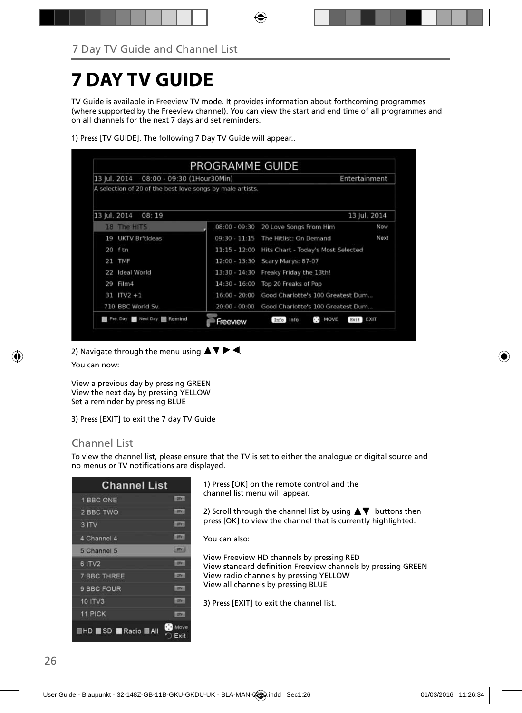# **7 DAY TV GUIDE**

TV Guide is available in Freeview TV mode. It provides information about forthcoming programmes (where supported by the Freeview channel). You can view the start and end time of all programmes and on all channels for the next 7 days and set reminders.

| 13 Iul. 2014<br>08:00 - 09:30 (1Hour30Min)                |                 |                                                | Entertainment       |
|-----------------------------------------------------------|-----------------|------------------------------------------------|---------------------|
| A selection of 20 of the best love songs by male artists. |                 |                                                |                     |
| 13 Jul. 2014<br>08:19                                     |                 |                                                | 13 Jul. 2014        |
| 18 The HITS                                               | $08:00 - 09:30$ | 20 Love Songs From Him                         | Now                 |
| <b>UKTV Br'tideas</b><br>19                               | $09:30 - 11:15$ | The Hitlist: On Demand                         | Next                |
| 20 ftn                                                    | $11:15 - 12:00$ | Hits Chart - Today's Most Selected             |                     |
| <b>TMF</b><br>21                                          | $12:00 - 13:30$ | Scary Marys: 87-07                             |                     |
| Ideal World<br>22                                         | $13:30 - 14:30$ | Freaky Friday the 13th!                        |                     |
| Film4<br>29                                               | $14:30 - 16:00$ | Top 20 Freaks of Pop                           |                     |
| $31$ ITV2 +1                                              | $16:00 - 20:00$ | Good Charlotte's 100 Greatest Dum              |                     |
| 710 BBC World Sv.                                         | $20:00 - 00:00$ | Good Charlotte's 100 Greatest Dum              |                     |
| Pre. Day Next Day <b>1 Remind</b>                         | Freeview        | MOVE<br>$\mathcal{C} \rightarrow$<br>Info Info | <b>EXIT</b><br>Exit |

1) Press [TV GUIDE]. The following 7 Day TV Guide will appear..

2) Navigate through the menu using  $\blacktriangle \blacktriangledown \blacktriangleright \blacktriangleleft$ .

You can now:

View a previous day by pressing GREEN View the next day by pressing YELLOW Set a reminder by pressing BLUE

3) Press [EXIT] to exit the 7 day TV Guide

### Channel List

To view the channel list, please ensure that the TV is set to either the analogue or digital source and no menus or TV notifications are displayed.

| <b>Channel List</b>                        |              |
|--------------------------------------------|--------------|
| 1 BBC ONE                                  | <b>LODGE</b> |
| 2 BBC TWO                                  | <b>LOTS</b>  |
| 3 ITV                                      | <b>LOTV:</b> |
| 4 Channel 4                                | - any        |
| 5 Channel 5                                | <b>Hand</b>  |
| 6 ITV2                                     | <b>ISTAN</b> |
| <b>7 BBC THREE</b>                         | m            |
| 9 BBC FOUR                                 | m            |
| 10 ITV3                                    | <b>ISSN</b>  |
| 11 PICK                                    | m            |
| $\cdot$ $\cdot$<br><b>EHD SD Radio BAI</b> | Move<br>Exit |

1) Press [OK] on the remote control and the channel list menu will appear.

2) Scroll through the channel list by using  $\blacktriangle \blacktriangledown$  buttons then press [OK] to view the channel that is currently highlighted.

You can also:

View Freeview HD channels by pressing RED View standard definition Freeview channels by pressing GREEN View radio channels by pressing YELLOW View all channels by pressing BLUE

3) Press [EXIT] to exit the channel list.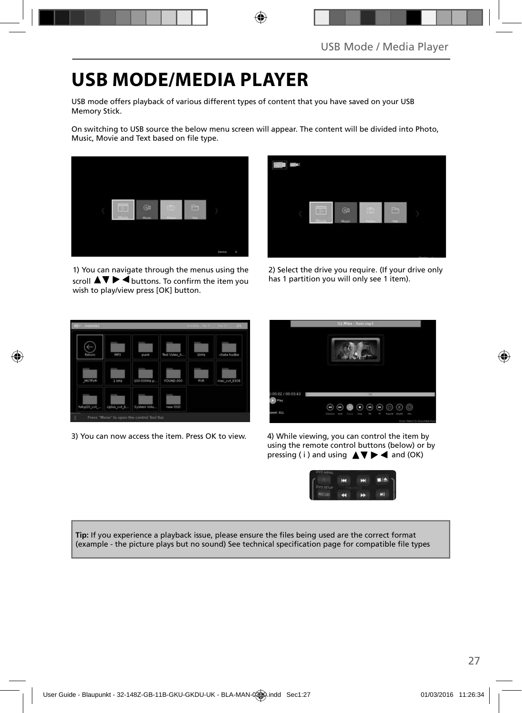## **USB MODE/MEDIA PLAYER**

USB mode offers playback of various different types of content that you have saved on your USB Memory Stick.

On switching to USB source the below menu screen will appear. The content will be divided into Photo, Music, Movie and Text based on file type.



1) You can navigate through the menus using the scroll  $\triangle \blacktriangledown \blacktriangleright \blacktriangleleft$  buttons. To confirm the item you wish to play/view press [OK] button.



2) Select the drive you require. (If your drive only has 1 partition you will only see 1 item).



3) You can now access the item. Press OK to view. 4) While viewing, you can control the item by



using the remote control buttons (below) or by pressing ( i ) and using  $\triangle \blacktriangledown \blacktriangleright \blacktriangleleft$  and (OK)



Tip: If you experience a playback issue, please ensure the files being used are the correct format (example - the picture plays but no sound) See technical specification page for compatible file types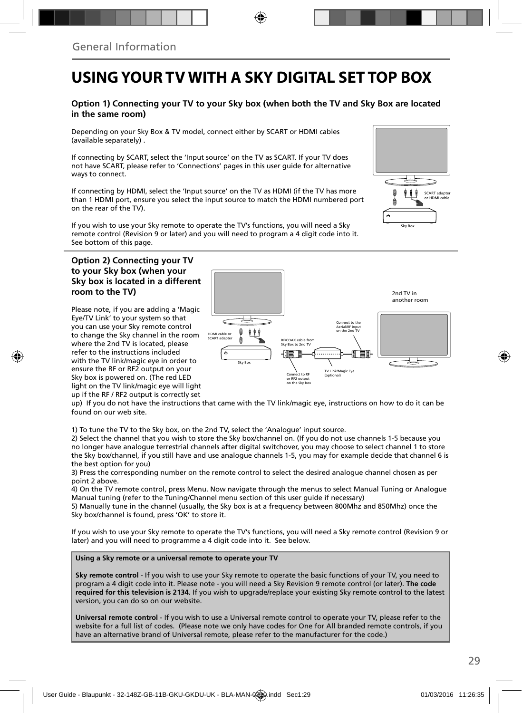### **USING YOUR TV WITH A SKY DIGITAL SET TOP BOX**

#### **Option 1) Connecting your TV to your Sky box (when both the TV and Sky Box are located in the same room)**

Depending on your Sky Box & TV model, connect either by SCART or HDMI cables (available separately) .

If connecting by SCART, select the 'Input source' on the TV as SCART. If your TV does not have SCART, please refer to 'Connections' pages in this user guide for alternative ways to connect.

If connecting by HDMI, select the 'Input source' on the TV as HDMI (if the TV has more than 1 HDMI port, ensure you select the input source to match the HDMI numbered port on the rear of the TV).

If you wish to use your Sky remote to operate the TV's functions, you will need a Sky remote control (Revision 9 or later) and you will need to program a 4 digit code into it. See bottom of this page.

#### **Option 2) Connecting your TV to your Sky box (when your Sky box is located in a different room to the TV)**

Please note, if you are adding a 'Magic Eye/TV Link' to your system so that you can use your Sky remote control to change the Sky channel in the room where the 2nd TV is located, please refer to the instructions included with the TV link/magic eye in order to ensure the RF or RF2 output on your Sky box is powered on. (The red LED light on the TV link/magic eye will light up if the RF / RF2 output is correctly set



up) If you do not have the instructions that came with the TV link/magic eye, instructions on how to do it can be found on our web site.

1) To tune the TV to the Sky box, on the 2nd TV, select the 'Analogue' input source.

2) Select the channel that you wish to store the Sky box/channel on. (If you do not use channels 1-5 because you no longer have analogue terrestrial channels after digital switchover, you may choose to select channel 1 to store the Sky box/channel, if you still have and use analogue channels 1-5, you may for example decide that channel 6 is the best option for you)

3) Press the corresponding number on the remote control to select the desired analogue channel chosen as per point 2 above.

4) On the TV remote control, press Menu. Now navigate through the menus to select Manual Tuning or Analogue Manual tuning (refer to the Tuning/Channel menu section of this user guide if necessary)

5) Manually tune in the channel (usually, the Sky box is at a frequency between 800Mhz and 850Mhz) once the Sky box/channel is found, press 'OK' to store it.

If you wish to use your Sky remote to operate the TV's functions, you will need a Sky remote control (Revision 9 or later) and you will need to programme a 4 digit code into it. See below.

#### **Using a Sky remote or a universal remote to operate your TV**

**Sky remote control** - If you wish to use your Sky remote to operate the basic functions of your TV, you need to program a 4 digit code into it. Please note - you will need a Sky Revision 9 remote control (or later). **The code required for this television is 2134.** If you wish to upgrade/replace your existing Sky remote control to the latest version, you can do so on our website.

**Universal remote control** - If you wish to use a Universal remote control to operate your TV, please refer to the website for a full list of codes. (Please note we only have codes for One for All branded remote controls, if you have an alternative brand of Universal remote, please refer to the manufacturer for the code.)

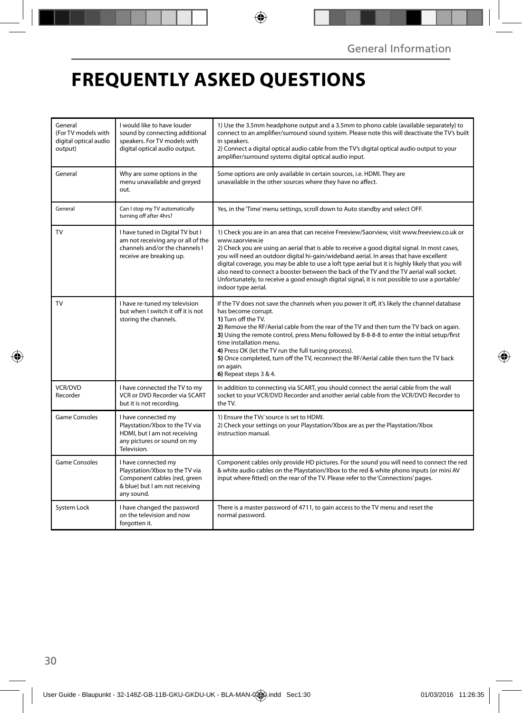## **FREQUENTLY ASKED QUESTIONS**

| General<br>(For TV models with<br>digital optical audio<br>output) | I would like to have louder<br>sound by connecting additional<br>speakers. For TV models with<br>digital optical audio output.        | 1) Use the 3.5mm headphone output and a 3.5mm to phono cable (available separately) to<br>connect to an amplifier/surround sound system. Please note this will deactivate the TV's built<br>in speakers.<br>2) Connect a digital optical audio cable from the TV's digital optical audio output to your<br>amplifier/surround systems digital optical audio input.                                                                                                                                                                                                                                                                  |
|--------------------------------------------------------------------|---------------------------------------------------------------------------------------------------------------------------------------|-------------------------------------------------------------------------------------------------------------------------------------------------------------------------------------------------------------------------------------------------------------------------------------------------------------------------------------------------------------------------------------------------------------------------------------------------------------------------------------------------------------------------------------------------------------------------------------------------------------------------------------|
| General                                                            | Why are some options in the<br>menu unavailable and greyed<br>out.                                                                    | Some options are only available in certain sources, i.e. HDMI. They are<br>unavailable in the other sources where they have no affect.                                                                                                                                                                                                                                                                                                                                                                                                                                                                                              |
| General                                                            | Can I stop my TV automatically<br>turning off after 4hrs?                                                                             | Yes, in the 'Time' menu settings, scroll down to Auto standby and select OFF.                                                                                                                                                                                                                                                                                                                                                                                                                                                                                                                                                       |
| <b>TV</b>                                                          | I have tuned in Digital TV but I<br>am not receiving any or all of the<br>channels and/or the channels I<br>receive are breaking up.  | 1) Check you are in an area that can receive Freeview/Saorview, visit www.freeview.co.uk or<br>www.saorview.ie<br>2) Check you are using an aerial that is able to receive a good digital signal. In most cases,<br>you will need an outdoor digital hi-gain/wideband aerial. In areas that have excellent<br>digital coverage, you may be able to use a loft type aerial but it is highly likely that you will<br>also need to connect a booster between the back of the TV and the TV aerial wall socket.<br>Unfortunately, to receive a good enough digital signal, it is not possible to use a portable/<br>indoor type aerial. |
| <b>TV</b>                                                          | I have re-tuned my television<br>but when I switch it off it is not<br>storing the channels.                                          | If the TV does not save the channels when you power it off, it's likely the channel database<br>has become corrupt.<br>1) Turn off the TV.<br>2) Remove the RF/Aerial cable from the rear of the TV and then turn the TV back on again.<br>3) Using the remote control, press Menu followed by 8-8-8-8 to enter the initial setup/first<br>time installation menu.<br>4) Press OK (let the TV run the full tuning process).<br>5) Once completed, turn off the TV, reconnect the RF/Aerial cable then turn the TV back<br>on again.<br>6) Repeat steps 3 & 4.                                                                       |
| <b>VCR/DVD</b><br>Recorder                                         | I have connected the TV to my<br>VCR or DVD Recorder via SCART<br>but it is not recording.                                            | In addition to connecting via SCART, you should connect the aerial cable from the wall<br>socket to your VCR/DVD Recorder and another aerial cable from the VCR/DVD Recorder to<br>the TV.                                                                                                                                                                                                                                                                                                                                                                                                                                          |
| <b>Game Consoles</b>                                               | I have connected my<br>Playstation/Xbox to the TV via<br>HDMI, but I am not receiving<br>any pictures or sound on my<br>Television.   | 1) Ensure the TVs' source is set to HDMI.<br>2) Check your settings on your Playstation/Xbox are as per the Playstation/Xbox<br>instruction manual.                                                                                                                                                                                                                                                                                                                                                                                                                                                                                 |
| <b>Game Consoles</b>                                               | I have connected my<br>Playstation/Xbox to the TV via<br>Component cables (red, green<br>& blue) but I am not receiving<br>any sound. | Component cables only provide HD pictures. For the sound you will need to connect the red<br>& white audio cables on the Playstation/Xbox to the red & white phono inputs (or mini AV<br>input where fitted) on the rear of the TV. Please refer to the 'Connections' pages.                                                                                                                                                                                                                                                                                                                                                        |
| System Lock                                                        | I have changed the password<br>on the television and now<br>forgotten it.                                                             | There is a master password of 4711, to gain access to the TV menu and reset the<br>normal password.                                                                                                                                                                                                                                                                                                                                                                                                                                                                                                                                 |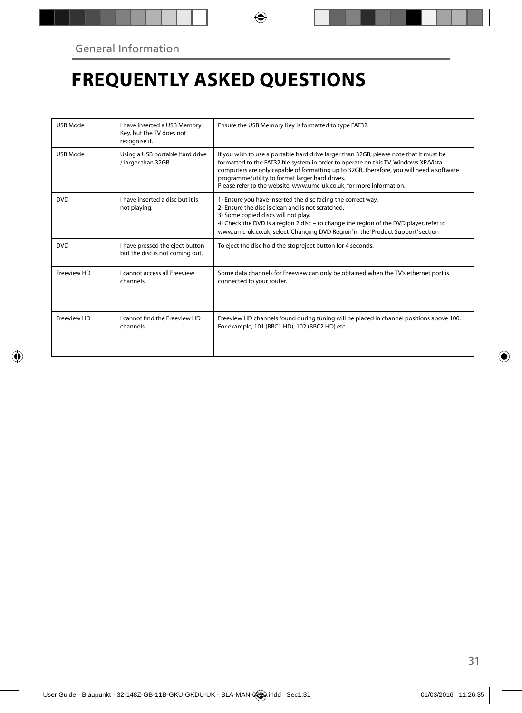## **FREQUENTLY ASKED QUESTIONS**

| USB Mode    | I have inserted a USB Memory<br>Key, but the TV does not<br>recognise it. | Ensure the USB Memory Key is formatted to type FAT32.                                                                                                                                                                                                                                                                                                                                                |
|-------------|---------------------------------------------------------------------------|------------------------------------------------------------------------------------------------------------------------------------------------------------------------------------------------------------------------------------------------------------------------------------------------------------------------------------------------------------------------------------------------------|
| USB Mode    | Using a USB portable hard drive<br>/ larger than 32GB.                    | If you wish to use a portable hard drive larger than 32GB, please note that it must be<br>formatted to the FAT32 file system in order to operate on this TV. Windows XP/Vista<br>computers are only capable of formatting up to 32GB, therefore, you will need a software<br>programme/utility to format larger hard drives.<br>Please refer to the website, www.umc-uk.co.uk, for more information. |
| <b>DVD</b>  | I have inserted a disc but it is<br>not playing.                          | 1) Ensure you have inserted the disc facing the correct way.<br>2) Ensure the disc is clean and is not scratched.<br>3) Some copied discs will not play.<br>4) Check the DVD is a region 2 disc - to change the region of the DVD player, refer to<br>www.umc-uk.co.uk, select 'Changing DVD Region' in the 'Product Support' section                                                                |
| <b>DVD</b>  | I have pressed the eject button<br>but the disc is not coming out.        | To eject the disc hold the stop/eject button for 4 seconds.                                                                                                                                                                                                                                                                                                                                          |
| Freeview HD | <b>Lcannot access all Freeview</b><br>channels                            | Some data channels for Freeview can only be obtained when the TV's ethernet port is<br>connected to your router.                                                                                                                                                                                                                                                                                     |
| Freeview HD | I cannot find the Freeview HD<br>channels                                 | Freeview HD channels found during tuning will be placed in channel positions above 100.<br>For example, 101 (BBC1 HD), 102 (BBC2 HD) etc.                                                                                                                                                                                                                                                            |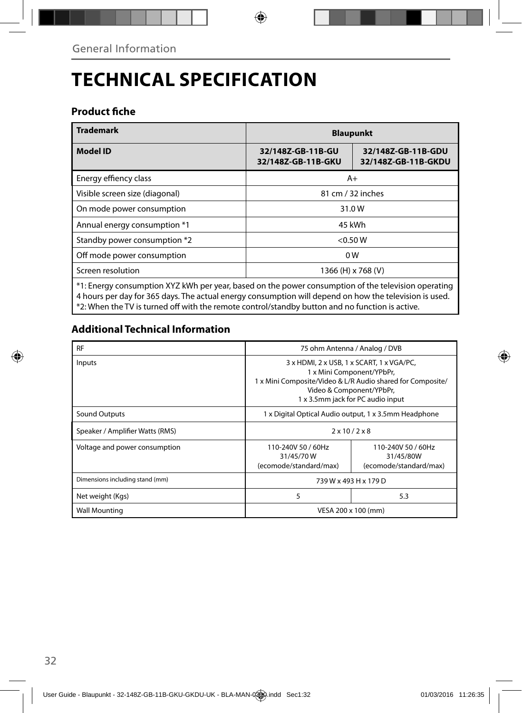# **TECHNICAL SPECIFICATION**

### **Product fiche**

| <b>Trademark</b>                                                                                                                                                                                                           | <b>Blaupunkt</b>                                                                     |  |  |
|----------------------------------------------------------------------------------------------------------------------------------------------------------------------------------------------------------------------------|--------------------------------------------------------------------------------------|--|--|
| <b>Model ID</b>                                                                                                                                                                                                            | 32/148Z-GB-11B-GU<br>32/148Z-GB-11B-GDU<br>32/148Z-GB-11B-GKU<br>32/148Z-GB-11B-GKDU |  |  |
| Energy effiency class                                                                                                                                                                                                      | A+                                                                                   |  |  |
| Visible screen size (diagonal)                                                                                                                                                                                             | 81 cm / 32 inches                                                                    |  |  |
| On mode power consumption                                                                                                                                                                                                  | 31.0W                                                                                |  |  |
| Annual energy consumption *1                                                                                                                                                                                               | 45 kWh                                                                               |  |  |
| Standby power consumption *2                                                                                                                                                                                               | < 0.50 W                                                                             |  |  |
| Off mode power consumption                                                                                                                                                                                                 | 0 <sub>W</sub>                                                                       |  |  |
| Screen resolution                                                                                                                                                                                                          | 1366 (H) x 768 (V)                                                                   |  |  |
| *1: Energy consumption XYZ kWh per year, based on the power consumption of the television operating<br>المعديدة وعزوزيه امهم والإبريمولوس امسموه الرائين ومنابس ويستحص يستمونه المنتفو مواتق ويبولون فكشبط ويستمره وسيموله |                                                                                      |  |  |

4 hours per day for 365 days. The actual energy consumption will depend on how the television is used. \*2: When the TV is turned off with the remote control/standby button and no function is active.

### **Additional Technical Information**

| <b>RF</b>                       | 75 ohm Antenna / Analog / DVB                                                                                                                                                                         |                                                           |  |
|---------------------------------|-------------------------------------------------------------------------------------------------------------------------------------------------------------------------------------------------------|-----------------------------------------------------------|--|
| Inputs                          | 3 x HDMI, 2 x USB, 1 x SCART, 1 x VGA/PC,<br>1 x Mini Component/YPbPr,<br>1 x Mini Composite/Video & L/R Audio shared for Composite/<br>Video & Component/YPbPr,<br>1 x 3.5mm jack for PC audio input |                                                           |  |
| Sound Outputs                   | 1 x Digital Optical Audio output, 1 x 3.5mm Headphone                                                                                                                                                 |                                                           |  |
| Speaker / Amplifier Watts (RMS) | $2 \times 10 / 2 \times 8$                                                                                                                                                                            |                                                           |  |
| Voltage and power consumption   | 110-240V 50 / 60Hz<br>31/45/70W<br>(ecomode/standard/max)                                                                                                                                             | 110-240V 50 / 60Hz<br>31/45/80W<br>(ecomode/standard/max) |  |
| Dimensions including stand (mm) | 739 W x 493 H x 179 D                                                                                                                                                                                 |                                                           |  |
| Net weight (Kgs)                | 5                                                                                                                                                                                                     | 5.3                                                       |  |
| <b>Wall Mounting</b>            | VESA 200 x 100 (mm)                                                                                                                                                                                   |                                                           |  |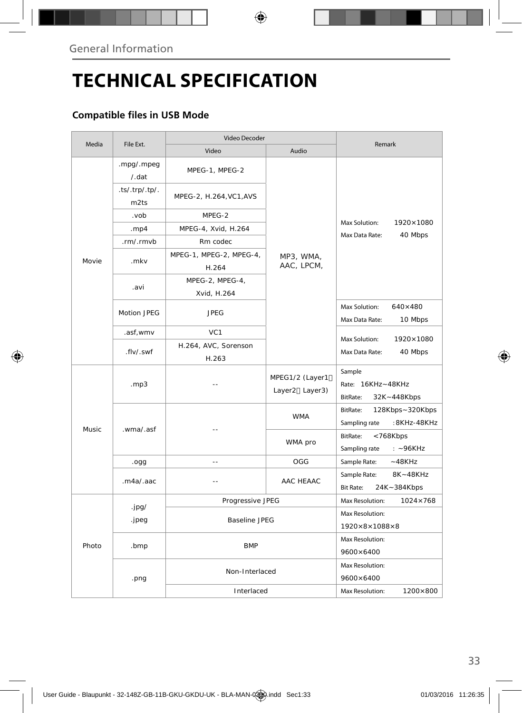# **TECHNICAL SPECIFICATION**

### **Compatible files in USB Mode**

| Media | File Ext.              | Video Decoder           |                                                                                                                                                                                     |                                                               |
|-------|------------------------|-------------------------|-------------------------------------------------------------------------------------------------------------------------------------------------------------------------------------|---------------------------------------------------------------|
|       |                        | Video                   | Audio                                                                                                                                                                               | Remark                                                        |
| Movie | .mpg/.mpeg             | MPEG-1, MPEG-2          | Max Solution:<br>Max Data Rate:<br>40 Mbps<br>MP3, WMA,<br>AAC, LPCM,<br>Max Solution:<br>$640\times480$<br>Max Data Rate:<br>10 Mbps<br>Max Solution:<br>Max Data Rate:<br>40 Mbps | 1920×1080                                                     |
|       | $/$ .dat               |                         |                                                                                                                                                                                     |                                                               |
|       | .ts/.trp/.tp/.<br>m2ts | MPEG-2, H.264, VC1, AVS |                                                                                                                                                                                     |                                                               |
|       | .vob                   | MPEG-2                  |                                                                                                                                                                                     |                                                               |
|       | .mp4                   | MPEG-4, Xvid, H.264     |                                                                                                                                                                                     |                                                               |
|       | .rm/.rmvb              | Rm codec                |                                                                                                                                                                                     |                                                               |
|       | .mkv                   | MPEG-1, MPEG-2, MPEG-4, |                                                                                                                                                                                     |                                                               |
|       |                        | H.264                   |                                                                                                                                                                                     |                                                               |
|       | .avi                   | MPEG-2, MPEG-4,         |                                                                                                                                                                                     |                                                               |
|       |                        | Xvid, H.264             |                                                                                                                                                                                     |                                                               |
|       | Motion JPEG            |                         |                                                                                                                                                                                     |                                                               |
|       |                        | <b>JPEG</b>             |                                                                                                                                                                                     |                                                               |
|       | .asf, wmv              | VC <sub>1</sub>         |                                                                                                                                                                                     | 1920×1080                                                     |
|       | .flv/.swf              | H.264, AVC, Sorenson    |                                                                                                                                                                                     |                                                               |
|       |                        | H.263                   |                                                                                                                                                                                     |                                                               |
| Music | mp3.                   |                         | MPEG1/2 (Layer1<br>Layer2 Layer3)                                                                                                                                                   | Sample<br>Rate: 16KHz~48KHz<br><b>BitRate:</b><br>32K~448Kbps |
|       | .wma/.asf              |                         | <b>WMA</b>                                                                                                                                                                          | BitRate:<br>128Kbps~320Kbps<br>:8KHz-48KHz<br>Sampling rate   |
|       |                        |                         | WMA pro                                                                                                                                                                             | BitRate:<br><768Kbps<br>Sampling rate<br>$: -96KHz$           |
|       | .ogg                   | $\sim$                  | OGG                                                                                                                                                                                 | Sample Rate:<br>$~-48$ KHz                                    |
|       | .m4a/.aac              |                         | AAC HEAAC                                                                                                                                                                           | 8K~48KHz<br>Sample Rate:<br><b>Bit Rate:</b><br>24K~384Kbps   |
|       |                        | Progressive JPEG        |                                                                                                                                                                                     | Max Resolution:<br>$1024 \times 768$                          |
| Photo | .jpg/                  | <b>Baseline JPEG</b>    |                                                                                                                                                                                     | Max Resolution:                                               |
|       | .jpeg                  |                         |                                                                                                                                                                                     | $1920\times8\times1088\times8$                                |
|       | .bmp                   | <b>BMP</b>              |                                                                                                                                                                                     | Max Resolution:                                               |
|       |                        |                         |                                                                                                                                                                                     | 9600×6400                                                     |
|       | .png                   | Non-Interlaced          |                                                                                                                                                                                     | Max Resolution:                                               |
|       |                        |                         |                                                                                                                                                                                     | 9600×6400                                                     |
|       |                        | Interlaced              |                                                                                                                                                                                     | Max Resolution:<br>1200×800                                   |